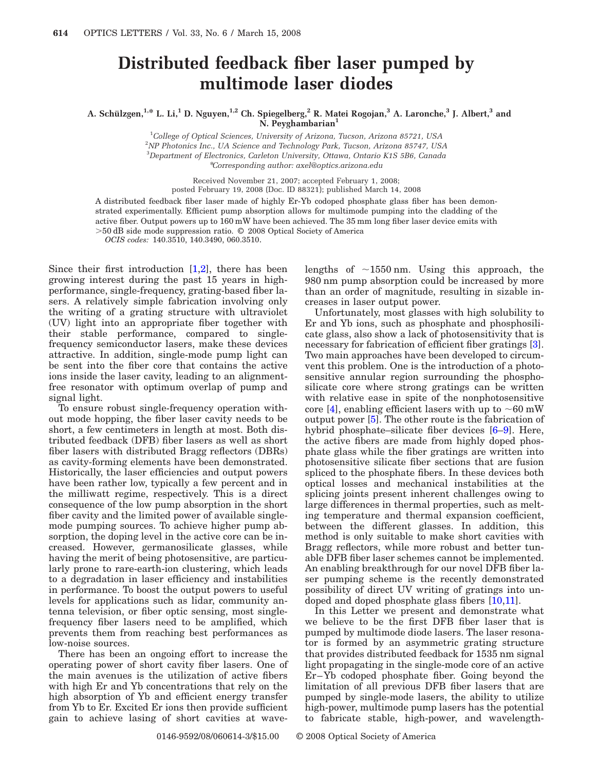## **Distributed feedback fiber laser pumped by multimode laser diodes**

**A. Schülzgen,1,\* L. Li,1 D. Nguyen,1,2 Ch. Spiegelberg,2 R. Matei Rogojan,3 A. Laronche,3 J. Albert,3 and N. Peyghambarian1**

> *College of Optical Sciences, University of Arizona, Tucson, Arizona 85721, USA NP Photonics Inc., UA Science and Technology Park, Tucson, Arizona 85747, USA Department of Electronics, Carleton University, Ottawa, Ontario K1S 5B6, Canada* \**Corresponding author: axel@optics.arizona.edu*

> > Received November 21, 2007; accepted February 1, 2008;

posted February 19, 2008 (Doc. ID 88321); published March 14, 2008

A distributed feedback fiber laser made of highly Er-Yb codoped phosphate glass fiber has been demonstrated experimentally. Efficient pump absorption allows for multimode pumping into the cladding of the active fiber. Output powers up to 160 mW have been achieved. The 35 mm long fiber laser device emits with 50 dB side mode suppression ratio. © 2008 Optical Society of America

*OCIS codes:* 140.3510, 140.3490, 060.3510.

Since their first introduction  $[1,2]$  $[1,2]$ , there has been growing interest during the past 15 years in highperformance, single-frequency, grating-based fiber lasers. A relatively simple fabrication involving only the writing of a grating structure with ultraviolet (UV) light into an appropriate fiber together with their stable performance, compared to singlefrequency semiconductor lasers, make these devices attractive. In addition, single-mode pump light can be sent into the fiber core that contains the active ions inside the laser cavity, leading to an alignmentfree resonator with optimum overlap of pump and signal light.

To ensure robust single-frequency operation without mode hopping, the fiber laser cavity needs to be short, a few centimeters in length at most. Both distributed feedback (DFB) fiber lasers as well as short fiber lasers with distributed Bragg reflectors (DBRs) as cavity-forming elements have been demonstrated. Historically, the laser efficiencies and output powers have been rather low, typically a few percent and in the milliwatt regime, respectively. This is a direct consequence of the low pump absorption in the short fiber cavity and the limited power of available singlemode pumping sources. To achieve higher pump absorption, the doping level in the active core can be increased. However, germanosilicate glasses, while having the merit of being photosensitive, are particularly prone to rare-earth-ion clustering, which leads to a degradation in laser efficiency and instabilities in performance. To boost the output powers to useful levels for applications such as lidar, community antenna television, or fiber optic sensing, most singlefrequency fiber lasers need to be amplified, which prevents them from reaching best performances as low-noise sources.

There has been an ongoing effort to increase the operating power of short cavity fiber lasers. One of the main avenues is the utilization of active fibers with high Er and Yb concentrations that rely on the high absorption of Yb and efficient energy transfer from Yb to Er. Excited Er ions then provide sufficient gain to achieve lasing of short cavities at wavelengths of  $\sim$ 1550 nm. Using this approach, the 980 nm pump absorption could be increased by more than an order of magnitude, resulting in sizable increases in laser output power.

Unfortunately, most glasses with high solubility to Er and Yb ions, such as phosphate and phosphosilicate glass, also show a lack of photosensitivity that is necessary for fabrication of efficient fiber gratings [\[3\]](#page-2-2). Two main approaches have been developed to circumvent this problem. One is the introduction of a photosensitive annular region surrounding the phosphosilicate core where strong gratings can be written with relative ease in spite of the nonphotosensitive core [\[4\]](#page-2-3), enabling efficient lasers with up to  $\sim 60$  mW output power [\[5\]](#page-2-4). The other route is the fabrication of hybrid phosphate–silicate fiber devices [\[6–](#page-2-5)[9\]](#page-2-6). Here, the active fibers are made from highly doped phosphate glass while the fiber gratings are written into photosensitive silicate fiber sections that are fusion spliced to the phosphate fibers. In these devices both optical losses and mechanical instabilities at the splicing joints present inherent challenges owing to large differences in thermal properties, such as melting temperature and thermal expansion coefficient, between the different glasses. In addition, this method is only suitable to make short cavities with Bragg reflectors, while more robust and better tunable DFB fiber laser schemes cannot be implemented. An enabling breakthrough for our novel DFB fiber laser pumping scheme is the recently demonstrated possibility of direct UV writing of gratings into undoped and doped phosphate glass fibers [\[10](#page-2-7)[,11\]](#page-2-8).

In this Letter we present and demonstrate what we believe to be the first DFB fiber laser that is pumped by multimode diode lasers. The laser resonator is formed by an asymmetric grating structure that provides distributed feedback for 1535 nm signal light propagating in the single-mode core of an active Er–Yb codoped phosphate fiber. Going beyond the limitation of all previous DFB fiber lasers that are pumped by single-mode lasers, the ability to utilize high-power, multimode pump lasers has the potential to fabricate stable, high-power, and wavelength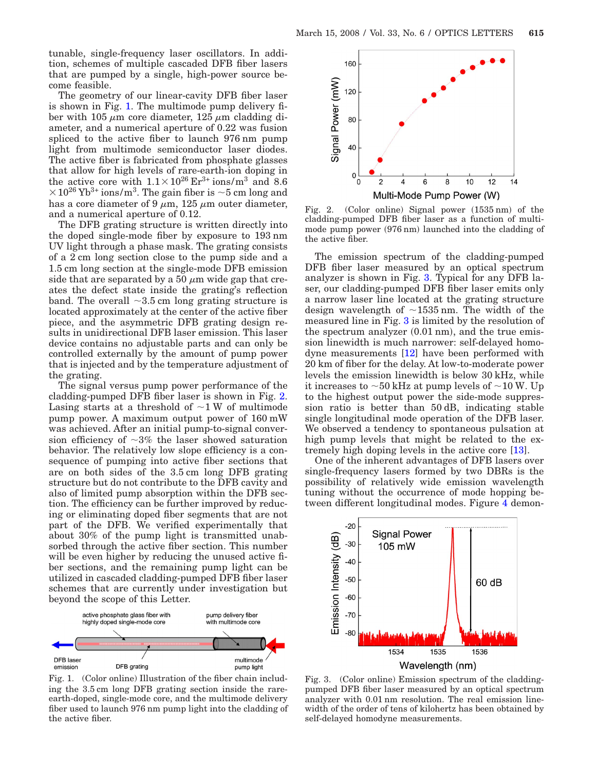tunable, single-frequency laser oscillators. In addition, schemes of multiple cascaded DFB fiber lasers that are pumped by a single, high-power source become feasible.

The geometry of our linear-cavity DFB fiber laser is shown in Fig. [1.](#page-1-0) The multimode pump delivery fiber with 105  $\mu$ m core diameter, 125  $\mu$ m cladding diameter, and a numerical aperture of 0.22 was fusion spliced to the active fiber to launch 976 nm pump light from multimode semiconductor laser diodes. The active fiber is fabricated from phosphate glasses that allow for high levels of rare-earth-ion doping in the active core with  $1.1 \times 10^{26}$  Er<sup>3+</sup> ions/m<sup>3</sup> and 8.6  $\times$  10<sup>26</sup> Yb<sup>3+</sup> ions/m<sup>3</sup>. The gain fiber is  $\sim$  5 cm long and has a core diameter of 9  $\mu$ m, 125  $\mu$ m outer diameter, and a numerical aperture of 0.12.

The DFB grating structure is written directly into the doped single-mode fiber by exposure to 193 nm UV light through a phase mask. The grating consists of a 2 cm long section close to the pump side and a 1.5 cm long section at the single-mode DFB emission side that are separated by a 50  $\mu$ m wide gap that creates the defect state inside the grating's reflection band. The overall  $\sim 3.5$  cm long grating structure is located approximately at the center of the active fiber piece, and the asymmetric DFB grating design results in unidirectional DFB laser emission. This laser device contains no adjustable parts and can only be controlled externally by the amount of pump power that is injected and by the temperature adjustment of the grating.

The signal versus pump power performance of the cladding-pumped DFB fiber laser is shown in Fig. [2.](#page-1-1) Lasing starts at a threshold of  $\sim$ 1 W of multimode pump power. A maximum output power of 160 mW was achieved. After an initial pump-to-signal conversion efficiency of  $\sim 3\%$  the laser showed saturation behavior. The relatively low slope efficiency is a consequence of pumping into active fiber sections that are on both sides of the 3.5 cm long DFB grating structure but do not contribute to the DFB cavity and also of limited pump absorption within the DFB section. The efficiency can be further improved by reducing or eliminating doped fiber segments that are not part of the DFB. We verified experimentally that about 30% of the pump light is transmitted unabsorbed through the active fiber section. This number will be even higher by reducing the unused active fiber sections, and the remaining pump light can be utilized in cascaded cladding-pumped DFB fiber laser schemes that are currently under investigation but beyond the scope of this Letter.

<span id="page-1-0"></span>

Fig. 1. (Color online) Illustration of the fiber chain including the 3.5 cm long DFB grating section inside the rareearth-doped, single-mode core, and the multimode delivery fiber used to launch 976 nm pump light into the cladding of the active fiber.

<span id="page-1-1"></span>

Fig. 2. (Color online) Signal power  $(1535 \text{ nm})$  of the cladding-pumped DFB fiber laser as a function of multimode pump power (976 nm) launched into the cladding of the active fiber.

The emission spectrum of the cladding-pumped DFB fiber laser measured by an optical spectrum analyzer is shown in Fig. [3.](#page-1-2) Typical for any DFB laser, our cladding-pumped DFB fiber laser emits only a narrow laser line located at the grating structure design wavelength of  $\sim$ 1535 nm. The width of the measured line in Fig. [3](#page-1-2) is limited by the resolution of the spectrum analyzer  $(0.01 \text{ nm})$ , and the true emission linewidth is much narrower: self-delayed homodyne measurements [\[12\]](#page-2-9) have been performed with 20 km of fiber for the delay. At low-to-moderate power levels the emission linewidth is below 30 kHz, while it increases to  $\sim$  50 kHz at pump levels of  $\sim$  10 W. Up to the highest output power the side-mode suppression ratio is better than 50 dB, indicating stable single longitudinal mode operation of the DFB laser. We observed a tendency to spontaneous pulsation at high pump levels that might be related to the extremely high doping levels in the active core [\[13\]](#page-2-10).

One of the inherent advantages of DFB lasers over single-frequency lasers formed by two DBRs is the possibility of relatively wide emission wavelength tuning without the occurrence of mode hopping be-tween different longitudinal modes. Figure [4](#page-2-11) demon-

<span id="page-1-2"></span>

Fig. 3. (Color online) Emission spectrum of the claddingpumped DFB fiber laser measured by an optical spectrum analyzer with 0.01 nm resolution. The real emission linewidth of the order of tens of kilohertz has been obtained by self-delayed homodyne measurements.